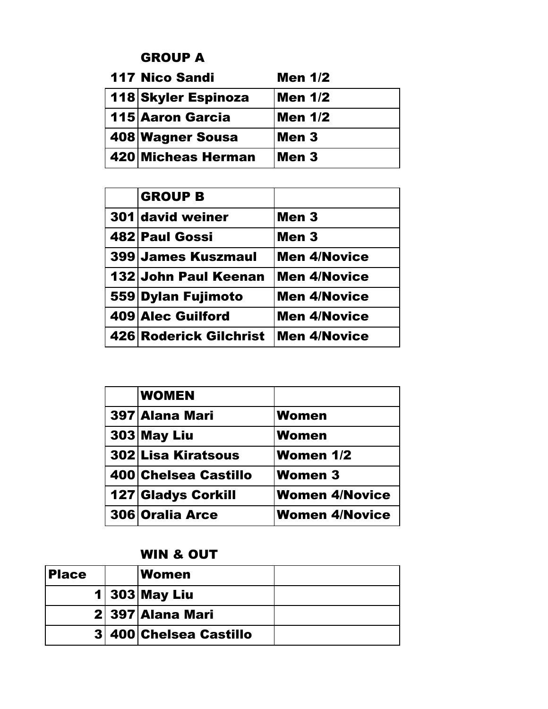### GROUP A

| <b>117 Nico Sandi</b> | <b>Men 1/2</b> |
|-----------------------|----------------|
| 118 Skyler Espinoza   | Men 1/2        |
| 115 Aaron Garcia      | Men 1/2        |
| 408 Wagner Sousa      | Men 3          |
| 420 Micheas Herman    | Men 3          |

| <b>GROUP B</b>         |                     |
|------------------------|---------------------|
| 301 david weiner       | Men 3               |
| 482 Paul Gossi         | Men 3               |
| 399 James Kuszmaul     | <b>Men 4/Novice</b> |
| 132 John Paul Keenan   | <b>Men 4/Novice</b> |
| 559 Dylan Fujimoto     | <b>Men 4/Novice</b> |
| 409 Alec Guilford      | <b>Men 4/Novice</b> |
| 426 Roderick Gilchrist | <b>Men 4/Novice</b> |

| <b>WOMEN</b>              |                       |
|---------------------------|-----------------------|
| 397 Alana Mari            | <b>Women</b>          |
| 303 May Liu               | Women                 |
| 302 Lisa Kiratsous        | <b>Women 1/2</b>      |
| 400 Chelsea Castillo      | <b>Women 3</b>        |
| <b>127 Gladys Corkill</b> | <b>Women 4/Novice</b> |
| 306 Oralia Arce           | <b>Women 4/Novice</b> |

# WIN & OUT

| <b>Place</b> | <b>Women</b>           |  |
|--------------|------------------------|--|
|              | $1 303 $ May Liu       |  |
|              | 2 397 Alana Mari       |  |
|              | 3 400 Chelsea Castillo |  |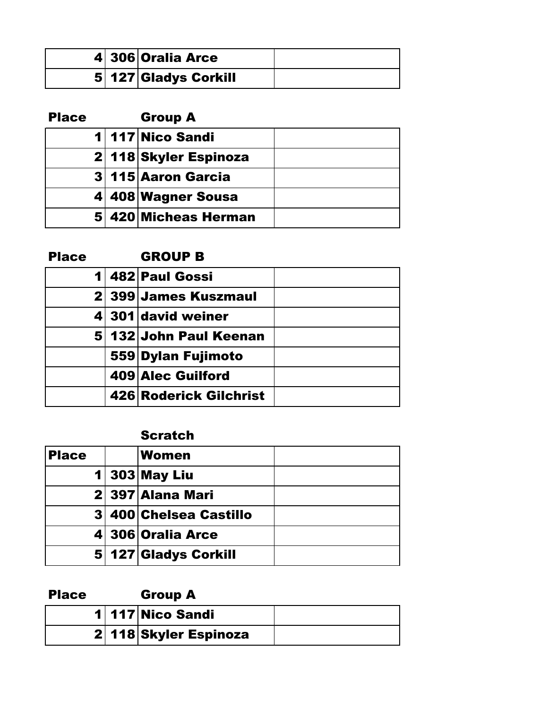|  | 4 306 Oralia Arce    |  |
|--|----------------------|--|
|  | 5 127 Gladys Corkill |  |

| <b>Place</b> | <b>Group A</b>        |  |
|--------------|-----------------------|--|
|              | 1 117 Nico Sandi      |  |
|              | 2 118 Skyler Espinoza |  |
|              | 3 115 Aaron Garcia    |  |
|              | 4 408 Wagner Sousa    |  |
|              | 5 420 Micheas Herman  |  |

| <b>Place</b> | <b>GROUP B</b> |
|--------------|----------------|
|              |                |

|  | 1 482 Paul Gossi       |  |
|--|------------------------|--|
|  | 2 399 James Kuszmaul   |  |
|  | 4 301 david weiner     |  |
|  | 5 132 John Paul Keenan |  |
|  | 559 Dylan Fujimoto     |  |
|  | 409 Alec Guilford      |  |
|  | 426 Roderick Gilchrist |  |

#### **Scratch**

| <b>Place</b> | <b>Women</b>           |  |
|--------------|------------------------|--|
|              | $1 303 $ May Liu       |  |
|              | 2 397 Alana Mari       |  |
|              | 3 400 Chelsea Castillo |  |
|              | 4 306 Oralia Arce      |  |
|              | 5 127 Gladys Corkill   |  |

| <b>Place</b> | <b>Group A</b>        |  |
|--------------|-----------------------|--|
|              | 1 117 Nico Sandi      |  |
|              | 2 118 Skyler Espinoza |  |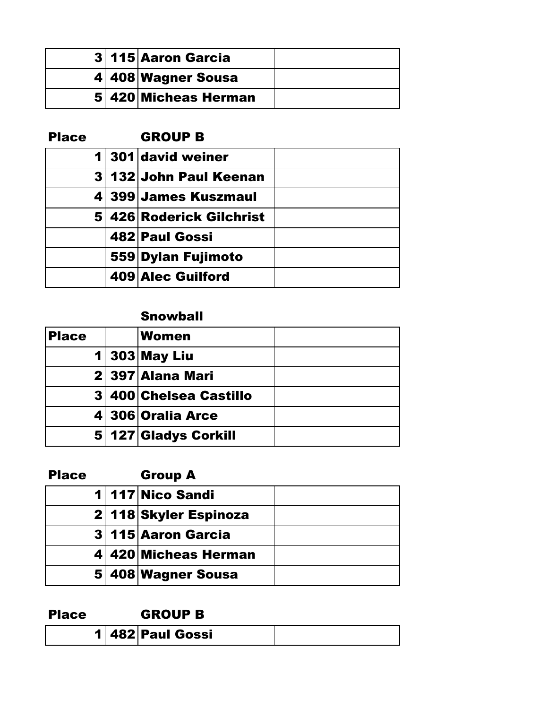|  | 3 115 Aaron Garcia   |  |
|--|----------------------|--|
|  | 4 408 Wagner Sousa   |  |
|  | 5 420 Micheas Herman |  |

| <b>Place</b> |  | <b>GROUP B</b>           |  |
|--------------|--|--------------------------|--|
|              |  | 1 301 david weiner       |  |
|              |  | 3 132 John Paul Keenan   |  |
|              |  | 4 399 James Kuszmaul     |  |
|              |  | 5 426 Roderick Gilchrist |  |
|              |  | 482 Paul Gossi           |  |
|              |  | 559 Dylan Fujimoto       |  |
|              |  | 409 Alec Guilford        |  |

## Snowball

| <b>Place</b> | Women                  |  |
|--------------|------------------------|--|
|              | $1 303 $ May Liu       |  |
|              | 2 397 Alana Mari       |  |
|              | 3 400 Chelsea Castillo |  |
|              | 4 306 Oralia Arce      |  |
|              | 5 127 Gladys Corkill   |  |

| <b>Place</b> | <b>Group A</b>        |  |
|--------------|-----------------------|--|
|              | 1 117 Nico Sandi      |  |
|              | 2 118 Skyler Espinoza |  |
|              | 3 115 Aaron Garcia    |  |
|              | 4 420 Micheas Herman  |  |
|              | 5 408 Wagner Sousa    |  |

#### Place GROUP B

| . |                |  |
|---|----------------|--|
|   | 482 Paul Gossi |  |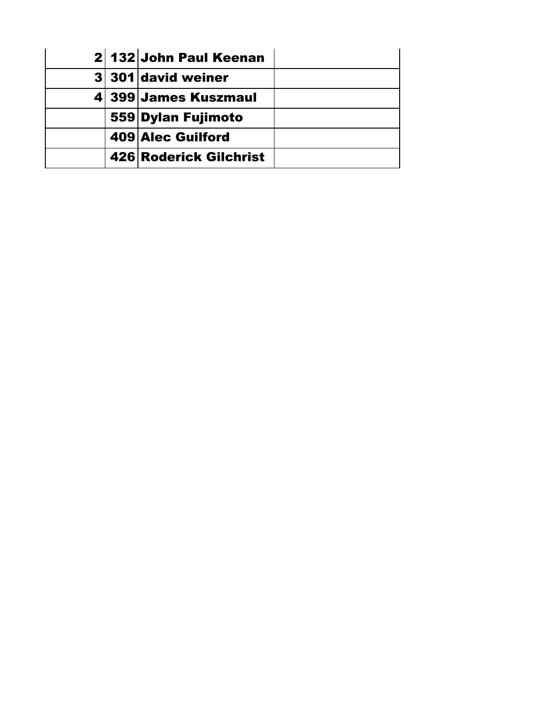|  | 2 132 John Paul Keenan |  |
|--|------------------------|--|
|  | 3 301 david weiner     |  |
|  | 4 399 James Kuszmaul   |  |
|  | 559 Dylan Fujimoto     |  |
|  | 409 Alec Guilford      |  |
|  | 426 Roderick Gilchrist |  |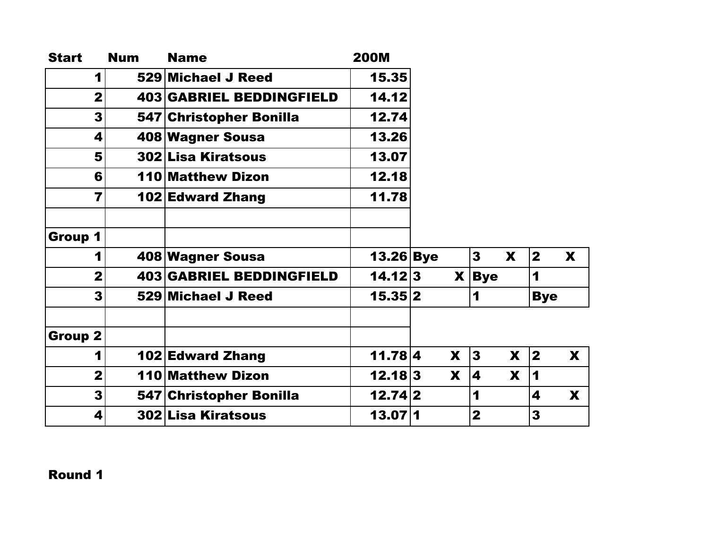| <b>Start</b>   | <b>Num</b> | <b>Name</b>                     | <b>200M</b> |              |                         |              |              |              |
|----------------|------------|---------------------------------|-------------|--------------|-------------------------|--------------|--------------|--------------|
| 1              |            | 529 Michael J Reed              | 15.35       |              |                         |              |              |              |
| $\overline{2}$ |            | <b>403 GABRIEL BEDDINGFIELD</b> | 14.12       |              |                         |              |              |              |
| 3              |            | 547 Christopher Bonilla         | 12.74       |              |                         |              |              |              |
| 4              |            | 408 Wagner Sousa                | 13.26       |              |                         |              |              |              |
| 5              |            | <b>302 Lisa Kiratsous</b>       | 13.07       |              |                         |              |              |              |
| 6              |            | <b>110 Matthew Dizon</b>        | 12.18       |              |                         |              |              |              |
| 7              |            | <b>102 Edward Zhang</b>         | 11.78       |              |                         |              |              |              |
| Group 1        |            |                                 |             |              |                         |              |              |              |
| 1              |            | 408 Wagner Sousa                | $13.26$ Bye |              | 3 <sup>1</sup>          | $\mathbf{x}$ | $\mathbf{2}$ | $\mathbf{x}$ |
| $\overline{2}$ |            | <b>403 GABRIEL BEDDINGFIELD</b> | 14.12 3     | $\mathbf{X}$ | <b>Bye</b>              |              | 1            |              |
| 3              |            | 529 Michael J Reed              | 15.35 2     |              | 1                       |              | <b>Bye</b>   |              |
| <b>Group 2</b> |            |                                 |             |              |                         |              |              |              |
| 1              |            | <b>102 Edward Zhang</b>         | 11.78 4     | X            | $\mathbf{3}$            | X            | $\vert$ 2    | X            |
| $\overline{2}$ |            | <b>110 Matthew Dizon</b>        | 12.18 3     | X            | 4                       | X            | 1            |              |
| 3              |            | 547 Christopher Bonilla         | 12.74 2     |              | 1                       |              | 4            | X            |
| 4              |            | 302 Lisa Kiratsous              | 13.07 1     |              | $\overline{\mathbf{2}}$ |              | 3            |              |

Round 1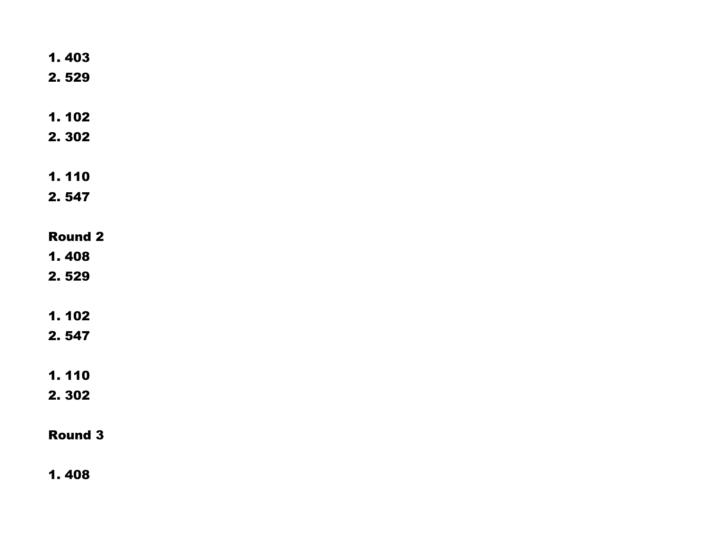| 1.403          |
|----------------|
| 2.529          |
|                |
| 1.102          |
|                |
| 2.302          |
|                |
| 1.110          |
| 2.547          |
|                |
|                |
| <b>Round 2</b> |
| 1.408          |
| 2.529          |
|                |
|                |
| 1.102          |
| 2.547          |
|                |
| 1.110          |
| 2.302          |
|                |
|                |
| <b>Round 3</b> |
|                |
|                |

1. 408